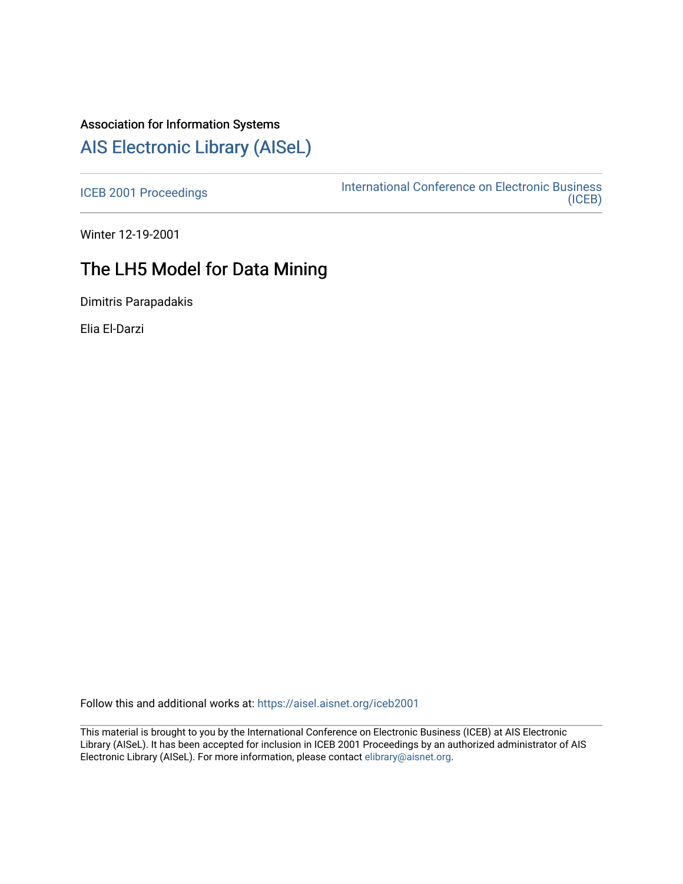## Association for Information Systems

## [AIS Electronic Library \(AISeL\)](https://aisel.aisnet.org/)

[ICEB 2001 Proceedings](https://aisel.aisnet.org/iceb2001) **International Conference on Electronic Business** [\(ICEB\)](https://aisel.aisnet.org/iceb) 

Winter 12-19-2001

# The LH5 Model for Data Mining

Dimitris Parapadakis

Elia El-Darzi

Follow this and additional works at: [https://aisel.aisnet.org/iceb2001](https://aisel.aisnet.org/iceb2001?utm_source=aisel.aisnet.org%2Ficeb2001%2F156&utm_medium=PDF&utm_campaign=PDFCoverPages)

This material is brought to you by the International Conference on Electronic Business (ICEB) at AIS Electronic Library (AISeL). It has been accepted for inclusion in ICEB 2001 Proceedings by an authorized administrator of AIS Electronic Library (AISeL). For more information, please contact [elibrary@aisnet.org.](mailto:elibrary@aisnet.org%3E)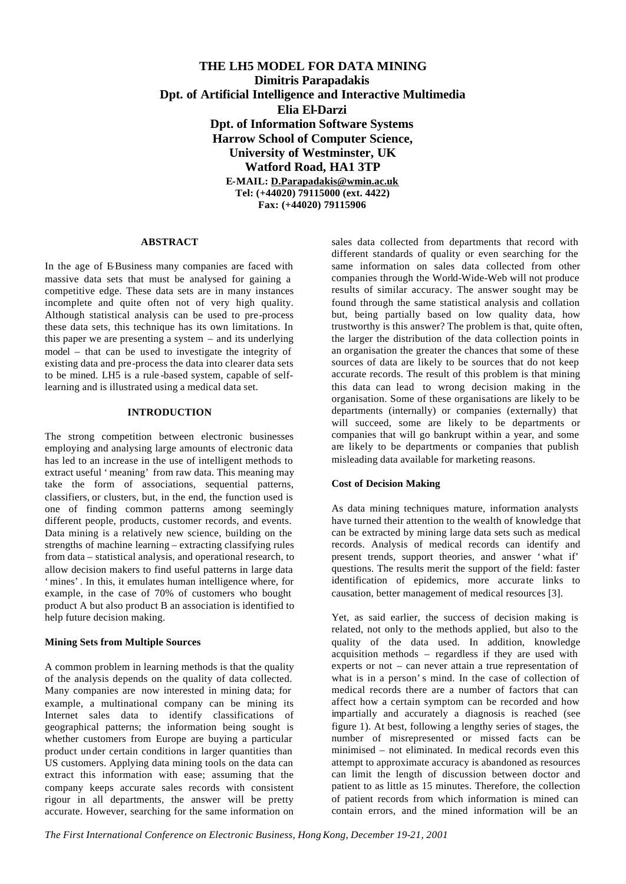## **THE LH5 MODEL FOR DATA MINING Dimitris Parapadakis Dpt. of Artificial Intelligence and Interactive Multimedia Elia El-Darzi Dpt. of Information Software Systems Harrow School of Computer Science, University of Westminster, UK Watford Road, HA1 3TP E-MAIL: D.Parapadakis@wmin.ac.uk Tel: (+44020) 79115000 (ext. 4422) Fax: (+44020) 79115906**

#### **ABSTRACT**

In the age of E-Business many companies are faced with massive data sets that must be analysed for gaining a competitive edge. These data sets are in many instances incomplete and quite often not of very high quality. Although statistical analysis can be used to pre-process these data sets, this technique has its own limitations. In this paper we are presenting a system – and its underlying model – that can be used to investigate the integrity of existing data and pre-process the data into clearer data sets to be mined. LH5 is a rule -based system, capable of selflearning and is illustrated using a medical data set.

### **INTRODUCTION**

The strong competition between electronic businesses employing and analysing large amounts of electronic data has led to an increase in the use of intelligent methods to extract useful 'meaning' from raw data. This meaning may take the form of associations, sequential patterns, classifiers, or clusters, but, in the end, the function used is one of finding common patterns among seemingly different people, products, customer records, and events. Data mining is a relatively new science, building on the strengths of machine learning – extracting classifying rules from data – statistical analysis, and operational research, to allow decision makers to find useful patterns in large data 'mines'. In this, it emulates human intelligence where, for example, in the case of 70% of customers who bought product A but also product B an association is identified to help future decision making.

#### **Mining Sets from Multiple Sources**

A common problem in learning methods is that the quality of the analysis depends on the quality of data collected. Many companies are now interested in mining data; for example, a multinational company can be mining its Internet sales data to identify classifications of geographical patterns; the information being sought is whether customers from Europe are buying a particular product under certain conditions in larger quantities than US customers. Applying data mining tools on the data can extract this information with ease; assuming that the company keeps accurate sales records with consistent rigour in all departments, the answer will be pretty accurate. However, searching for the same information on sales data collected from departments that record with different standards of quality or even searching for the same information on sales data collected from other companies through the World-Wide-Web will not produce results of similar accuracy. The answer sought may be found through the same statistical analysis and collation but, being partially based on low quality data, how trustworthy is this answer? The problem is that, quite often, the larger the distribution of the data collection points in an organisation the greater the chances that some of these sources of data are likely to be sources that do not keep accurate records. The result of this problem is that mining this data can lead to wrong decision making in the organisation. Some of these organisations are likely to be departments (internally) or companies (externally) that will succeed, some are likely to be departments or companies that will go bankrupt within a year, and some are likely to be departments or companies that publish misleading data available for marketing reasons.

## **Cost of Decision Making**

As data mining techniques mature, information analysts have turned their attention to the wealth of knowledge that can be extracted by mining large data sets such as medical records. Analysis of medical records can identify and present trends, support theories, and answer 'what if' questions. The results merit the support of the field: faster identification of epidemics, more accurate links to causation, better management of medical resources [3].

Yet, as said earlier, the success of decision making is related, not only to the methods applied, but also to the quality of the data used. In addition, knowledge acquisition methods – regardless if they are used with experts or not – can never attain a true representation of what is in a person's mind. In the case of collection of medical records there are a number of factors that can affect how a certain symptom can be recorded and how impartially and accurately a diagnosis is reached (see figure 1). At best, following a lengthy series of stages, the number of misrepresented or missed facts can be minimised – not eliminated. In medical records even this attempt to approximate accuracy is abandoned as resources can limit the length of discussion between doctor and patient to as little as 15 minutes. Therefore, the collection of patient records from which information is mined can contain errors, and the mined information will be an

*The First International Conference on Electronic Business, Hong Kong, December 19-21, 2001*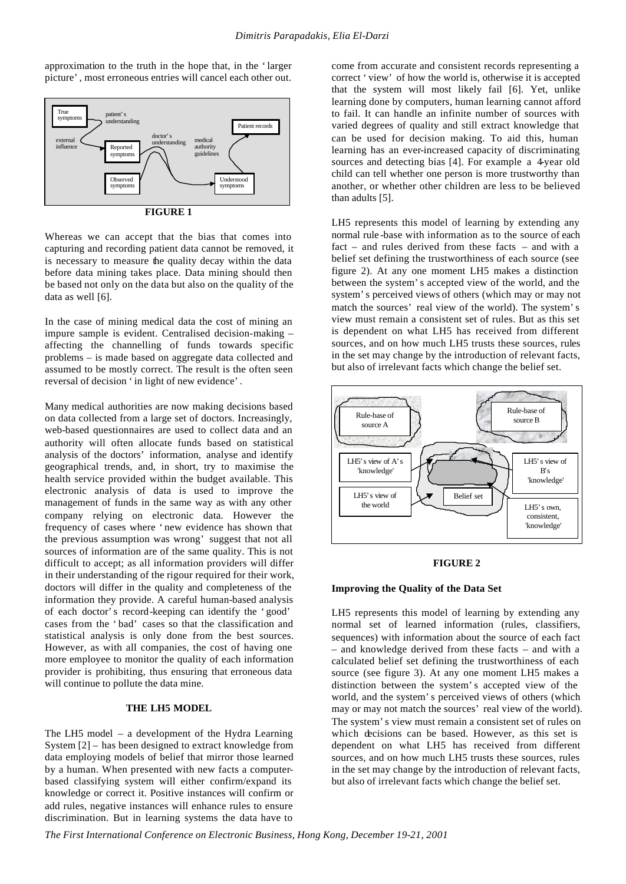approximation to the truth in the hope that, in the 'larger picture', most erroneous entries will cancel each other out.



Whereas we can accept that the bias that comes into capturing and recording patient data cannot be removed, it is necessary to measure the quality decay within the data before data mining takes place. Data mining should then be based not only on the data but also on the quality of the data as well [6].

In the case of mining medical data the cost of mining an impure sample is evident. Centralised decision-making – affecting the channelling of funds towards specific problems – is made based on aggregate data collected and assumed to be mostly correct. The result is the often seen reversal of decision 'in light of new evidence'.

Many medical authorities are now making decisions based on data collected from a large set of doctors. Increasingly, web-based questionnaires are used to collect data and an authority will often allocate funds based on statistical analysis of the doctors' information, analyse and identify geographical trends, and, in short, try to maximise the health service provided within the budget available. This electronic analysis of data is used to improve the management of funds in the same way as with any other company relying on electronic data. However the frequency of cases where 'new evidence has shown that the previous assumption was wrong' suggest that not all sources of information are of the same quality. This is not difficult to accept; as all information providers will differ in their understanding of the rigour required for their work, doctors will differ in the quality and completeness of the information they provide. A careful human-based analysis of each doctor's record-keeping can identify the 'good' cases from the 'bad' cases so that the classification and statistical analysis is only done from the best sources. However, as with all companies, the cost of having one more employee to monitor the quality of each information provider is prohibiting, thus ensuring that erroneous data will continue to pollute the data mine.

## **THE LH5 MODEL**

The LH5 model – a development of the Hydra Learning System [2] – has been designed to extract knowledge from data employing models of belief that mirror those learned by a human. When presented with new facts a computerbased classifying system will either confirm/expand its knowledge or correct it. Positive instances will confirm or add rules, negative instances will enhance rules to ensure discrimination. But in learning systems the data have to

come from accurate and consistent records representing a correct 'view' of how the world is, otherwise it is accepted that the system will most likely fail [6]. Yet, unlike learning done by computers, human learning cannot afford to fail. It can handle an infinite number of sources with varied degrees of quality and still extract knowledge that can be used for decision making. To aid this, human learning has an ever-increased capacity of discriminating sources and detecting bias [4]. For example a 4-year old child can tell whether one person is more trustworthy than another, or whether other children are less to be believed than adults [5].

LH5 represents this model of learning by extending any normal rule -base with information as to the source of each fact – and rules derived from these facts – and with a belief set defining the trustworthiness of each source (see figure 2). At any one moment LH5 makes a distinction between the system's accepted view of the world, and the system's perceived views of others (which may or may not match the sources' real view of the world). The system's view must remain a consistent set of rules. But as this set is dependent on what LH5 has received from different sources, and on how much LH5 trusts these sources, rules in the set may change by the introduction of relevant facts, but also of irrelevant facts which change the belief set.



#### **FIGURE 2**

#### **Improving the Quality of the Data Set**

LH5 represents this model of learning by extending any normal set of learned information (rules, classifiers, sequences) with information about the source of each fact – and knowledge derived from these facts – and with a calculated belief set defining the trustworthiness of each source (see figure 3). At any one moment LH5 makes a distinction between the system's accepted view of the world, and the system's perceived views of others (which may or may not match the sources' real view of the world). The system's view must remain a consistent set of rules on which decisions can be based. However, as this set is dependent on what LH5 has received from different sources, and on how much LH5 trusts these sources, rules in the set may change by the introduction of relevant facts, but also of irrelevant facts which change the belief set.

*The First International Conference on Electronic Business, Hong Kong, December 19-21, 2001*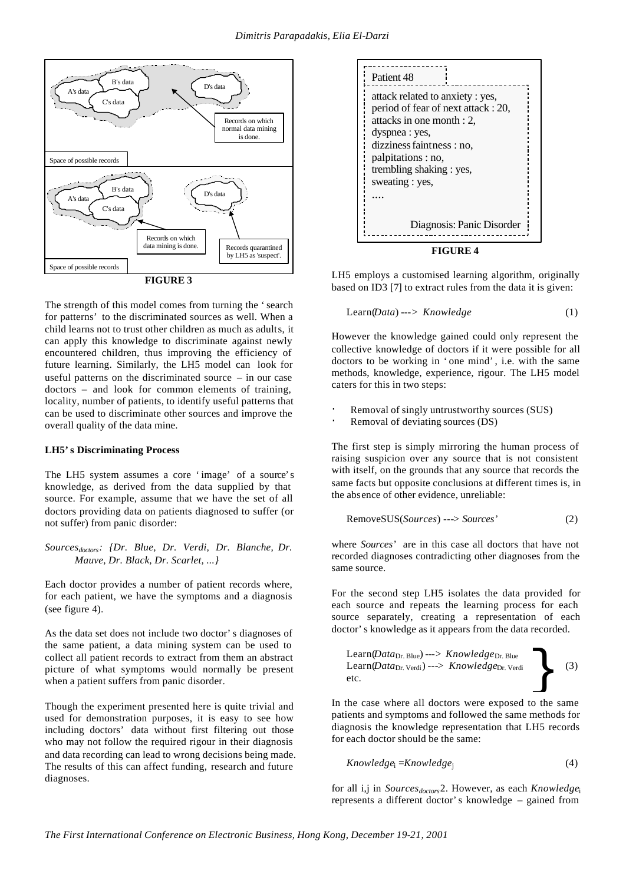

**FIGURE 3**

The strength of this model comes from turning the 'search for patterns' to the discriminated sources as well. When a child learns not to trust other children as much as adults, it can apply this knowledge to discriminate against newly encountered children, thus improving the efficiency of future learning. Similarly, the LH5 model can look for useful patterns on the discriminated source – in our case doctors – and look for common elements of training, locality, number of patients, to identify useful patterns that can be used to discriminate other sources and improve the overall quality of the data mine.

#### **LH5's Discriminating Process**

The LH5 system assumes a core 'image' of a source's knowledge, as derived from the data supplied by that source. For example, assume that we have the set of all doctors providing data on patients diagnosed to suffer (or not suffer) from panic disorder:

*Sourcesdoctors: {Dr. Blue, Dr. Verdi, Dr. Blanche, Dr. Mauve, Dr. Black, Dr. Scarlet, ...}*

Each doctor provides a number of patient records where, for each patient, we have the symptoms and a diagnosis (see figure 4).

As the data set does not include two doctor's diagnoses of the same patient, a data mining system can be used to collect all patient records to extract from them an abstract picture of what symptoms would normally be present when a patient suffers from panic disorder.

Though the experiment presented here is quite trivial and used for demonstration purposes, it is easy to see how including doctors' data without first filtering out those who may not follow the required rigour in their diagnosis and data recording can lead to wrong decisions being made. The results of this can affect funding, research and future diagnoses.



**FIGURE 4**

LH5 employs a customised learning algorithm, originally based on ID3 [7] to extract rules from the data it is given:

$$
Learn(Data) \text{---} > Knowledge
$$
\n<sup>(1)</sup>

However the knowledge gained could only represent the collective knowledge of doctors if it were possible for all doctors to be working in 'one mind', i.e. with the same methods, knowledge, experience, rigour. The LH5 model caters for this in two steps:

- Removal of singly untrustworthy sources (SUS)
- Removal of deviating sources (DS)

The first step is simply mirroring the human process of raising suspicion over any source that is not consistent with itself, on the grounds that any source that records the same facts but opposite conclusions at different times is, in the absence of other evidence, unreliable:

$$
RemoveSUS(Sources) \text{---} > Sources'
$$
 (2)

where *Sources'* are in this case all doctors that have not recorded diagnoses contradicting other diagnoses from the same source.

For the second step LH5 isolates the data provided for each source and repeats the learning process for each source separately, creating a representation of each doctor's knowledge as it appears from the data recorded.

$$
Learn (Data_{Dr. Blue}) \n--> Knowledge_{Dr. Blue}\nLearn (Data_{Dr. Verdi}) \n--> Knowledge_{Dr. Verdi}\n\qquad (3)
$$

In the case where all doctors were exposed to the same patients and symptoms and followed the same methods for diagnosis the knowledge representation that LH5 records for each doctor should be the same:

$$
Knowledge_i = Knowledge_j \tag{4}
$$

for all i,j in *Sourcesdoctors*2. However, as each *Knowledge*<sup>i</sup> represents a different doctor's knowledge – gained from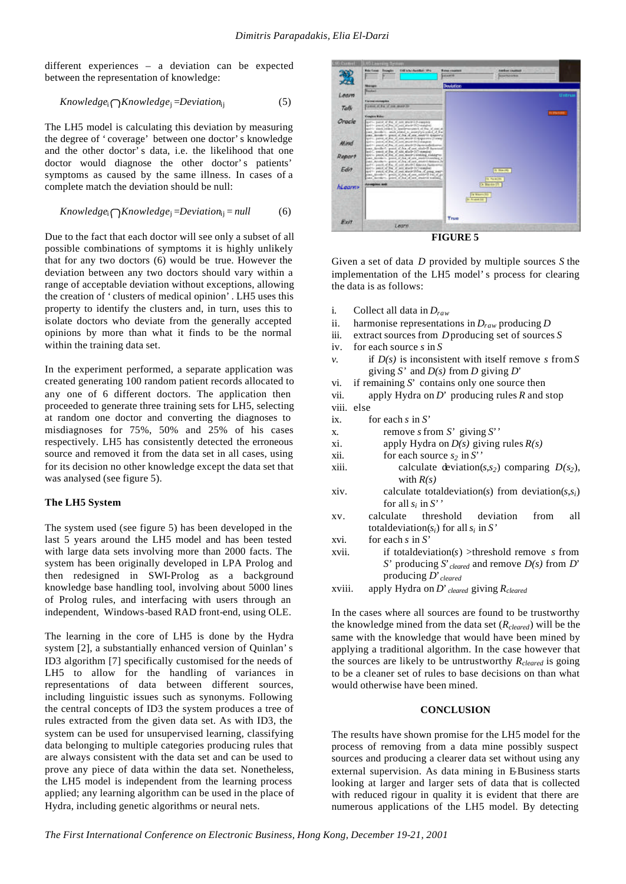different experiences – a deviation can be expected between the representation of knowledge:

$$
Knowledge_i \bigcap Knowledge_j = Deviation_{ij} \tag{5}
$$

The LH5 model is calculating this deviation by measuring the degree of 'coverage' between one doctor's knowledge and the other doctor's data, i.e. the likelihood that one doctor would diagnose the other doctor's patients' symptoms as caused by the same illness. In cases of a complete match the deviation should be null:

$$
Knowledge_i \bigcap Knowledge_j = Deviation_{ij} = null \tag{6}
$$

Due to the fact that each doctor will see only a subset of all possible combinations of symptoms it is highly unlikely that for any two doctors (6) would be true. However the deviation between any two doctors should vary within a range of acceptable deviation without exceptions, allowing the creation of 'clusters of medical opinion'. LH5 uses this property to identify the clusters and, in turn, uses this to isolate doctors who deviate from the generally accepted opinions by more than what it finds to be the normal within the training data set.

In the experiment performed, a separate application was created generating 100 random patient records allocated to any one of 6 different doctors. The application then proceeded to generate three training sets for LH5, selecting at random one doctor and converting the diagnoses to misdiagnoses for 75%, 50% and 25% of his cases respectively. LH5 has consistently detected the erroneous source and removed it from the data set in all cases, using for its decision no other knowledge except the data set that was analysed (see figure 5).

#### **The LH5 System**

The system used (see figure 5) has been developed in the last 5 years around the LH5 model and has been tested with large data sets involving more than 2000 facts. The system has been originally developed in LPA Prolog and then redesigned in SWI-Prolog as a background knowledge base handling tool, involving about 5000 lines of Prolog rules, and interfacing with users through an independent, Windows-based RAD front-end, using OLE.

The learning in the core of LH5 is done by the Hydra system [2], a substantially enhanced version of Quinlan's ID3 algorithm [7] specifically customised for the needs of LH5 to allow for the handling of variances in representations of data between different sources, including linguistic issues such as synonyms. Following the central concepts of ID3 the system produces a tree of rules extracted from the given data set. As with ID3, the system can be used for unsupervised learning, classifying data belonging to multiple categories producing rules that are always consistent with the data set and can be used to prove any piece of data within the data set. Nonetheless, the LH5 model is independent from the learning process applied; any learning algorithm can be used in the place of Hydra, including genetic algorithms or neural nets.



**FIGURE 5**

Given a set of data *D* provided by multiple sources *S* the implementation of the LH5 model's process for clearing the data is as follows:

| i.     | Collect all data in $D_{raw}$                                                                  |
|--------|------------------------------------------------------------------------------------------------|
| ii.    | harmonise representations in $D_{raw}$ producing D                                             |
| iii.   | extract sources from $D$ producing set of sources $S$                                          |
| iv.    | for each source $s$ in $S$                                                                     |
| ν.     | if $D(s)$ is inconsistent with itself remove s from S<br>giving S' and $D(s)$ from D giving D' |
| vi.    | if remaining $S*$ contains only one source then                                                |
|        |                                                                                                |
| vii.   | apply Hydra on $D'$ producing rules R and stop                                                 |
|        | viii. else                                                                                     |
| ix.    | for each $s$ in $S'$                                                                           |
| X.     | remove s from $S'$ giving $S'$                                                                 |
| xi.    | apply Hydra on $D(s)$ giving rules $R(s)$                                                      |
| xii.   | for each source $s_2$ in S''                                                                   |
| xiii.  | calculate deviation(s,s <sub>2</sub> ) comparing $D(s_2)$ ,                                    |
|        | with $R(s)$                                                                                    |
| xiv.   | calculate total deviation(s) from deviation(s, $s_i$ )                                         |
|        | for all $s_i$ in S''                                                                           |
| XV.    | calculate threshold deviation<br>from<br>all                                                   |
|        | total deviation( $s_i$ ) for all $s_i$ in S'                                                   |
| xvi.   | for each s in $S'$                                                                             |
| xvii.  | if total deviation( $s$ ) > threshold remove $s$ from                                          |
|        | S' producing $S$ cleared and remove $D(s)$ from $D'$                                           |
|        | producing $D'$ <sub>cleared</sub>                                                              |
| xviii. | apply Hydra on $D'$ cleared giving $R_{cleaned}$                                               |
|        |                                                                                                |

In the cases where all sources are found to be trustworthy the knowledge mined from the data set (*Rcleared*) will be the same with the knowledge that would have been mined by applying a traditional algorithm. In the case however that the sources are likely to be untrustworthy *Rcleared* is going to be a cleaner set of rules to base decisions on than what would otherwise have been mined.

#### **CONCLUSION**

The results have shown promise for the LH5 model for the process of removing from a data mine possibly suspect sources and producing a clearer data set without using any external supervision. As data mining in EBusiness starts looking at larger and larger sets of data that is collected with reduced rigour in quality it is evident that there are numerous applications of the LH5 model. By detecting